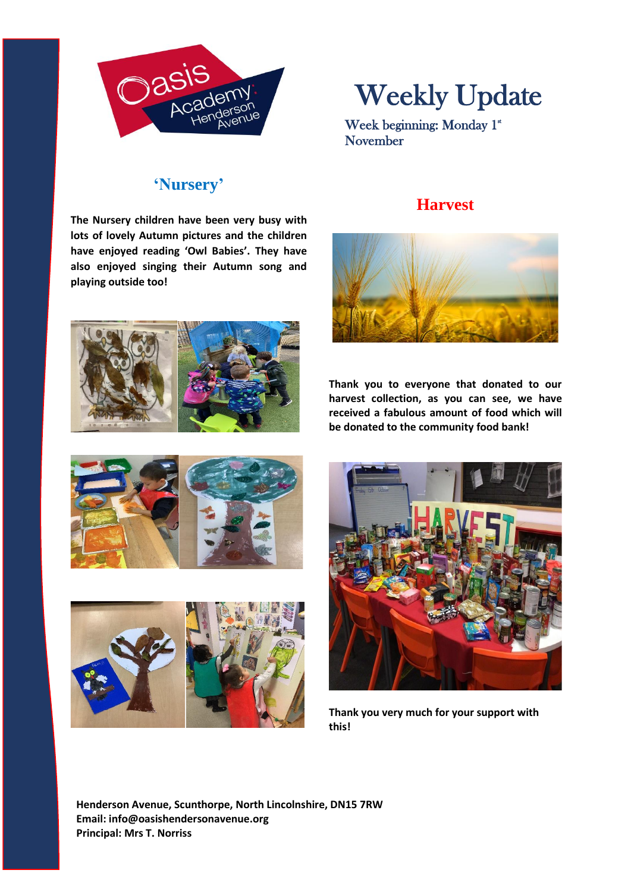

# Weekly Update

Week beginning: Monday 1<sup>st</sup> November

## **'Nursery'**

**The Nursery children have been very busy with lots of lovely Autumn pictures and the children have enjoyed reading 'Owl Babies'. They have also enjoyed singing their Autumn song and playing outside too!**







**Thank you to everyone that donated to our harvest collection, as you can see, we have received a fabulous amount of food which will be donated to the community food bank!**







**Thank you very much for your support with this!**

**Henderson Avenue, Scunthorpe, North Lincolnshire, DN15 7RW Email: info@oasishendersonavenue.org Principal: Mrs T. Norriss**